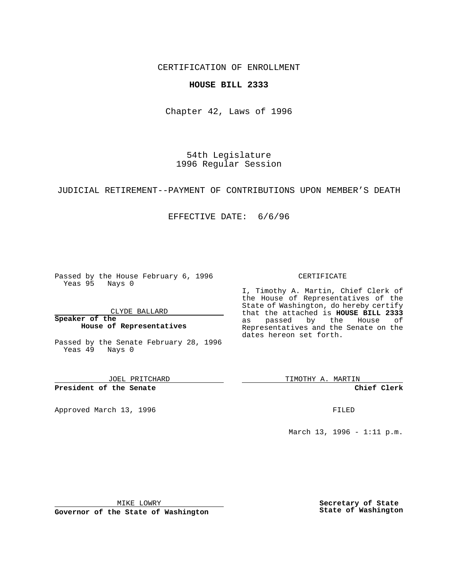CERTIFICATION OF ENROLLMENT

## **HOUSE BILL 2333**

Chapter 42, Laws of 1996

54th Legislature 1996 Regular Session

JUDICIAL RETIREMENT--PAYMENT OF CONTRIBUTIONS UPON MEMBER'S DEATH

EFFECTIVE DATE: 6/6/96

Passed by the House February 6, 1996 Yeas 95 Nays 0

CLYDE BALLARD

**Speaker of the House of Representatives**

Passed by the Senate February 28, 1996 Yeas 49 Nays 0

JOEL PRITCHARD

**President of the Senate**

Approved March 13, 1996 **FILED** 

CERTIFICATE

I, Timothy A. Martin, Chief Clerk of the House of Representatives of the State of Washington, do hereby certify that the attached is **HOUSE BILL 2333** as passed by the House of Representatives and the Senate on the dates hereon set forth.

TIMOTHY A. MARTIN

**Chief Clerk**

March 13, 1996 - 1:11 p.m.

MIKE LOWRY

**Governor of the State of Washington**

**Secretary of State State of Washington**